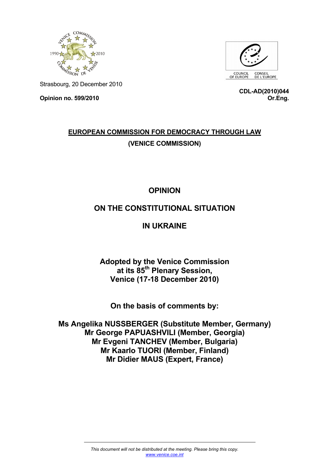



Strasbourg, 20 December 2010

**Opinion no. 599/2010** 

**CDL-AD(2010)044 Or.Eng.**

## **EUROPEAN COMMISSION FOR DEMOCRACY THROUGH LAW (VENICE COMMISSION)**

# **OPINION**

## **ON THE CONSTITUTIONAL SITUATION**

### **IN UKRAINE**

**Adopted by the Venice Commission at its 85th Plenary Session, Venice (17-18 December 2010)** 

**On the basis of comments by:** 

**Ms Angelika NUSSBERGER (Substitute Member, Germany) Mr George PAPUASHVILI (Member, Georgia) Mr Evgeni TANCHEV (Member, Bulgaria) Mr Kaarlo TUORI (Member, Finland) Mr Didier MAUS (Expert, France)**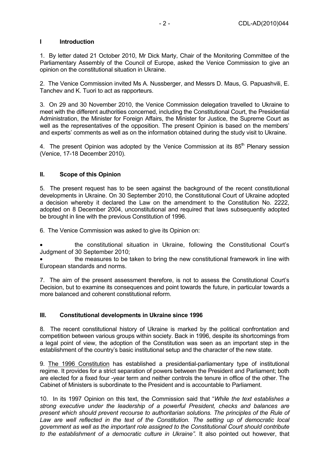#### **I Introduction**

1. By letter dated 21 October 2010, Mr Dick Marty, Chair of the Monitoring Committee of the Parliamentary Assembly of the Council of Europe, asked the Venice Commission to give an opinion on the constitutional situation in Ukraine.

2. The Venice Commission invited Ms A. Nussberger, and Messrs D. Maus, G. Papuashvili, E. Tanchev and K. Tuori to act as rapporteurs.

3. On 29 and 30 November 2010, the Venice Commission delegation travelled to Ukraine to meet with the different authorities concerned, including the Constitutional Court, the Presidential Administration, the Minister for Foreign Affairs, the Minister for Justice, the Supreme Court as well as the representatives of the opposition. The present Opinion is based on the members' and experts' comments as well as on the information obtained during the study visit to Ukraine.

4. The present Opinion was adopted by the Venice Commission at its 85<sup>th</sup> Plenary session (Venice, 17-18 December 2010).

### **II. Scope of this Opinion**

5. The present request has to be seen against the background of the recent constitutional developments in Ukraine. On 30 September 2010, the Constitutional Court of Ukraine adopted a decision whereby it declared the Law on the amendment to the Constitution No. 2222, adopted on 8 December 2004, unconstitutional and required that laws subsequently adopted be brought in line with the previous Constitution of 1996.

6. The Venice Commission was asked to give its Opinion on:

• the constitutional situation in Ukraine, following the Constitutional Court's Judgment of 30 September 2010;

• the measures to be taken to bring the new constitutional framework in line with European standards and norms.

7. The aim of the present assessment therefore, is not to assess the Constitutional Court's Decision, but to examine its consequences and point towards the future, in particular towards a more balanced and coherent constitutional reform.

#### **III. Constitutional developments in Ukraine since 1996**

8. The recent constitutional history of Ukraine is marked by the political confrontation and competition between various groups within society. Back in 1996, despite its shortcomings from a legal point of view, the adoption of the Constitution was seen as an important step in the establishment of the country's basic institutional setup and the character of the new state.

9. The 1996 Constitution has established a presidential-parliamentary type of institutional regime. It provides for a strict separation of powers between the President and Parliament; both are elected for a fixed four -year term and neither controls the tenure in office of the other. The Cabinet of Ministers is subordinate to the President and is accountable to Parliament.

10. In its 1997 Opinion on this text, the Commission said that "*While the text establishes a strong executive under the leadership of a powerful President, checks and balances are present which should prevent recourse to authoritarian solutions. The principles of the Rule of Law are well reflected in the text of the Constitution. The setting up of democratic local government as well as the important role assigned to the Constitutional Court should contribute to the establishment of a democratic culture in Ukraine".* It also pointed out however, that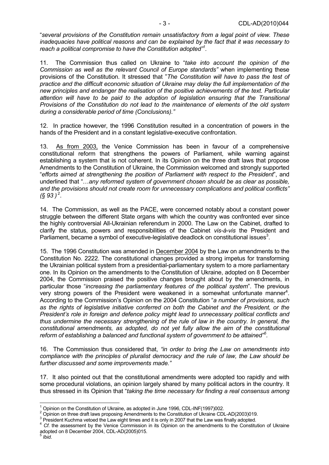"*several provisions of the Constitution remain unsatisfactory from a legal point of view. These inadequacies have political reasons and can be explained by the fact that it was necessary to reach a political compromise to have the Constitution adopted"1 .* 

11. The Commission thus called on Ukraine to "*take into account the opinion of the Commission as well as the relevant Council of Europe standards"* when implementing these provisions of the Constitution. It stressed that "*The Constitution will have to pass the test of practice and the difficult economic situation of Ukraine may delay the full implementation of the new principles and endanger the realisation of the positive achievements of the text. Particular attention will have to be paid to the adoption of legislation ensuring that the Transitional Provisions of the Constitution do not lead to the maintenance of elements of the old system during a considerable period of time (Conclusions)."* 

12. In practice however, the 1996 Constitution resulted in a concentration of powers in the hands of the President and in a constant legislative-executive confrontation.

13. As from 2003, the Venice Commission has been in favour of a comprehensive constitutional reform that strengthens the powers of Parliament, while warning against establishing a system that is not coherent. In its Opinion on the three draft laws that propose Amendments to the Constitution of Ukraine, the Commission welcomed and strongly supported "*efforts aimed at strengthening the position of Parliament with respect to the President*", and underlined that "…*any reformed system of government chosen should be as clear as possible, and the provisions should not create room for unnecessary complications and political conflicts"*   $($ § 93 )<sup>2</sup>.

14. The Commission, as well as the PACE, were concerned notably about a constant power struggle between the different State organs with which the country was confronted ever since the highly controversial All-Ukrainian referendum in 2000. The Law on the Cabinet, drafted to clarify the status, powers and responsibilities of the Cabinet *vis-à-vis* the President and Parliament, became a symbol of executive-legislative deadlock on constitutional issues<sup>3</sup>.

15. The 1996 Constitution was amended in December 2004 by the Law on amendments to the Constitution No. 2222. The constitutional changes provided a strong impetus for transforming the Ukrainian political system from a presidential-parliamentary system to a more parliamentary one. In its Opinion on the amendments to the Constitution of Ukraine, adopted on 8 December 2004, the Commission praised the positive changes brought about by the amendments, in particular those "*increasing the parliamentary features of the political system*". The previous very strong powers of the President were weakened in a somewhat unfortunate manner<sup>4</sup>. According to the Commission's Opinion on the 2004 Constitution "*a number of provisions, such as the rights of legislative initiative conferred on both the Cabinet and the President, or the President's role in foreign and defence policy might lead to unnecessary political conflicts and thus undermine the necessary strengthening of the rule of law in the country. In general, the constitutional amendments, as adopted, do not yet fully allow the aim of the constitutional reform of establishing a balanced and functional system of government to be attained"5 .* 

16. The Commission thus considered that, *"in order to bring the Law on amendments into compliance with the principles of pluralist democracy and the rule of law, the Law should be further discussed and some improvements made."* 

17. It also pointed out that the constitutional amendments were adopted too rapidly and with some procedural violations, an opinion largely shared by many political actors in the country. It thus stressed in its Opinion that "*taking the time necessary for finding a real consensus among* 

 $\overline{\phantom{a}}$ 1 Opinion on the Constitution of Ukraine, as adopted in June 1996, CDL-INF(1997)002.

 $^2$  Opinion on three draft laws proposing Amendments to the Constitution of Ukraine CDL-AD(2003)019.<br><sup>3</sup> Precident Kurbma vetacd the Law sight times and it is salv in 2007 that the Law was finally adopted.

<sup>&</sup>lt;sup>3</sup> President Kuchma vetoed the Law eight times and it is only in 2007 that the Law was finally adopted.

<sup>4</sup> *Cf*. the assessment by the Venice Commission in its Opinion on the amendments to the Constitution of Ukraine adopted on 8 December 2004, CDL-AD(2005)015.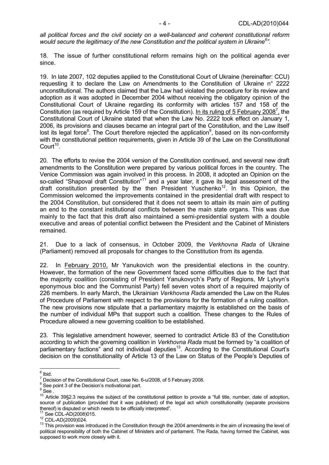*all political forces and the civil society on a well-balanced and coherent constitutional reform would secure the legitimacy of the new Constitution and the political system in Ukraine6 ".* 

18. The issue of further constitutional reform remains high on the political agenda ever since.

19. In late 2007, 102 deputies applied to the Constitutional Court of Ukraine (hereinafter: CCU) requesting it to declare the Law on Amendments to the Constitution of Ukraine n° 2222 unconstitutional. The authors claimed that the Law had violated the procedure for its review and adoption as it was adopted in December 2004 without receiving the obligatory opinion of the Constitutional Court of Ukraine regarding its conformity with articles 157 and 158 of the Constitution (as required by Article 159 of the Constitution). In its ruling of 5 February 2008<sup>7</sup>, the Constitutional Court of Ukraine stated that when the Law No. 2222 took effect on January 1, 2006, its provisions and clauses became an integral part of the Constitution, and the Law itself lost its legal force<sup>8</sup>. The Court therefore rejected the application<sup>9</sup>, based on its non-conformity with the constitutional petition requirements, given in Article 39 of the Law on the Constitutional Court<sup>10</sup>.

20. The efforts to revise the 2004 version of the Constitution continued, and several new draft amendments to the Constitution were prepared by various political forces in the country. The Venice Commission was again involved in this process. In 2008, it adopted an Opinion on the so-called "Shapoval draft Constitution"<sup>11</sup> and a year later, it gave its legal assessment of the draft constitution presented by the then President Yuschenko<sup>12</sup>. In this Opinion, the Commission welcomed the improvements contained in the presidential draft with respect to the 2004 Constitution, but considered that it does not seem to attain its main aim of putting an end to the constant institutional conflicts between the main state organs. This was due mainly to the fact that this draft also maintained a semi-presidential system with a double executive and areas of potential conflict between the President and the Cabinet of Ministers remained.

21. Due to a lack of consensus, in October 2009, the *Verkhovna Rada* of Ukraine (Parliament) removed all proposals for changes to the Constitution from its agenda.

22. In February 2010, Mr Yanukovich won the presidential elections in the country. However, the formation of the new Government faced some difficulties due to the fact that the majority coalition (consisting of President Yanukovych's Party of Regions, Mr Lytvyn's eponymous bloc and the Communist Party) fell seven votes short of a required majority of 226 members. In early March, the Ukrainian *Verkhovna Rada* amended the Law on the Rules of Procedure of Parliament with respect to the provisions for the formation of a ruling coalition. The new provisions now stipulate that a parliamentary majority is established on the basis of the number of individual MPs that support such a coalition. These changes to the Rules of Procedure allowed a new governing coalition to be established.

23. This legislative amendment however, seemed to contradict Article 83 of the Constitution according to which the governing coalition in *Verkhovna Rada* must be formed by "a coalition of parliamentary factions" and not individual deputies<sup>13</sup>. According to the Constitutional Court's decision on the constitutionality of Article 13 of the Law on Status of the People's Deputies of

 $6$  Ibid.

<sup>7</sup> Decision of the Constitutional Court, case No. 6-u/2008, of 5 February 2008.

<sup>8</sup> See point 3 of the Decision's motivational part.

 $^9$  See .

<sup>&</sup>lt;sup>10</sup> Article 39§2.3 requires the subject of the constitutional petition to provide a "full title, number, date of adoption, source of publication (provided that it was published) of the legal act which constitutionality (separate provisions thereof) is disputed or which needs to be officially interpreted".<br><sup>11</sup> See CDL-AD(2008)015.

<sup>12</sup> CDL-AD(2009)024.<br><sup>12</sup> CDL-AD(2009)024.<br><sup>13</sup> This provision was introduced in the Constitution through the 2004 amendments in the aim of increasing the level of political responsibility of both the Cabinet of Ministers and of parliament. The Rada, having formed the Cabinet, was supposed to work more closely with it.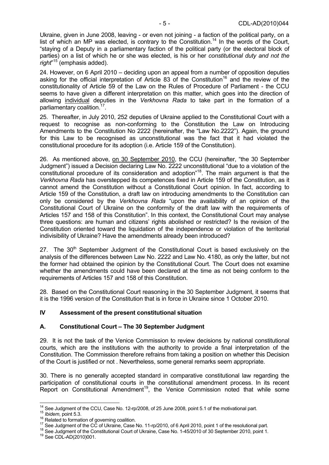Ukraine, given in June 2008, leaving - or even not joining - a faction of the political party, on a list of which an MP was elected, is contrary to the Constitution.<sup>14</sup> In the words of the Court, "staying of a Deputy in a parliamentary faction of the political party (or the electoral block of parties) on a list of which he or she was elected, is his or her *constitutional duty and not the right*" 15 (emphasis added).

24. However, on 6 April 2010 – deciding upon an appeal from a number of opposition deputies asking for the official interpretation of Article 83 of the Constitution<sup>16</sup> and the review of the constitutionality of Article 59 of the Law on the Rules of Procedure of Parliament - the CCU seems to have given a different interpretation on this matter, which goes into the direction of allowing individual deputies in the *Verkhovna Rada* to take part in the formation of a parliamentary coalition.17.

25. Thereafter, in July 2010, 252 deputies of Ukraine applied to the Constitutional Court with a request to recognise as non-conforming to the Constitution the Law on Introducing Amendments to the Constitution No 2222 (hereinafter, the "Law No.2222"). Again, the ground for this Law to be recognised as unconstitutional was the fact that it had violated the constitutional procedure for its adoption (i.e. Article 159 of the Constitution).

26. As mentioned above, on 30 September 2010, the CCU (hereinafter, "the 30 September Judgment") issued a Decision declaring Law No. 2222 unconstitutional "due to a violation of the constitutional procedure of its consideration and adoption"18. The main argument is that the *Verkhovna Rada* has overstepped its competences fixed in Article 159 of the Constitution, as it cannot amend the Constitution without a Constitutional Court opinion. In fact, according to Article 159 of the Constitution, a draft law on introducing amendments to the Constitution can only be considered by the *Verkhovna Rada* "upon the availability of an opinion of the Constitutional Court of Ukraine on the conformity of the draft law with the requirements of Articles 157 and 158 of this Constitution". In this context, the Constitutional Court may analyse three questions: are human and citizens' rights abolished or restricted? Is the revision of the Constitution oriented toward the liquidation of the independence or violation of the territorial indivisibility of Ukraine? Have the amendments already been introduced?

27. The  $30<sup>th</sup>$  September Judgment of the Constitutional Court is based exclusively on the analysis of the differences between Law No. 2222 and Law No. 4180, as only the latter, but not the former had obtained the opinion by the Constitutional Court. The Court does not examine whether the amendments could have been declared at the time as not being conform to the requirements of Articles 157 and 158 of this Constitution.

28. Based on the Constitutional Court reasoning in the 30 September Judgment, it seems that it is the 1996 version of the Constitution that is in force in Ukraine since 1 October 2010.

#### **IV Assessment of the present constitutional situation**

#### **A. Constitutional Court – The 30 September Judgment**

29. It is not the task of the Venice Commission to review decisions by national constitutional courts, which are the institutions with the authority to provide a final interpretation of the Constitution. The Commission therefore refrains from taking a position on whether this Decision of the Court is justified or not . Nevertheless, some general remarks seem appropriate.

30. There is no generally accepted standard in comparative constitutional law regarding the participation of constitutional courts in the constitutional amendment process. In its recent Report on Constitutional Amendment<sup>19</sup>, the Venice Commission noted that while some

 $\overline{\phantom{a}}$ 

<sup>&</sup>lt;sup>14</sup> See Judgment of the CCU, Case No. 12-rp/2008, of 25 June 2008, point 5.1 of the motivational part.<br><sup>15</sup> *Ibidem*, point 5.3.<br><sup>16</sup> Related to formation of governing coalition.<br><sup>17</sup> See Judgment of the CC of Ukraine, C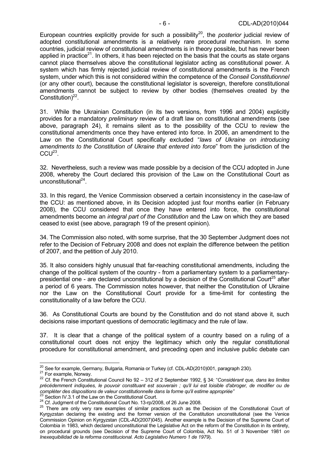European countries explicitly provide for such a possibility<sup>20</sup>, the *posterior* judicial review of adopted constitutional amendments is a relatively rare procedural mechanism. In some countries, judicial review of constitutional amendments is in theory possible, but has never been applied in practice<sup>21</sup>. In others, it has been rejected on the basis that the courts as state organs cannot place themselves above the constitutional legislator acting as constitutional power. A system which has firmly rejected judicial review of constitutional amendments is the French system, under which this is not considered within the competence of the *Conseil Constitutionnel* (or any other court), because the constitutional legislator is sovereign, therefore constitutional amendments cannot be subject to review by other bodies (themselves created by the Constitution) $^{22}$ .

31. While the Ukrainian Constitution (in its two versions, from 1996 and 2004) explicitly provides for a mandatory *preliminary* review of a draft law on constitutional amendments (see above, paragraph 24), it remains silent as to the possibility of the CCU to review the constitutional amendments once they have entered into force. In 2006, an amendment to the Law on the Constitutional Court specifically excluded "*laws of Ukraine on introducing amendments to the Constitution of Ukraine that entered into force*" from the jurisdiction of the  $CCU<sup>23</sup>$ .

32. Nevertheless, such a review was made possible by a decision of the CCU adopted in June 2008, whereby the Court declared this provision of the Law on the Constitutional Court as unconstitutional<sup>24</sup>.

33. In this regard, the Venice Commission observed a certain inconsistency in the case-law of the CCU: as mentioned above, in its Decision adopted just four months earlier (in February 2008), the CCU considered that once they have entered into force, the constitutional amendments become an *integral part of the Constitution* and the Law on which they are based ceased to exist (see above, paragraph 19 of the present opinion).

34. The Commission also noted, with some surprise, that the 30 September Judgment does not refer to the Decision of February 2008 and does not explain the difference between the petition of 2007, and the petition of July 2010.

35. It also considers highly unusual that far-reaching constitutional amendments, including the change of the political system of the country - from a parliamentary system to a parliamentarypresidential one - are declared unconstitutional by a decision of the Constitutional Court<sup>25</sup> after a period of 6 years. The Commission notes however, that neither the Constitution of Ukraine nor the Law on the Constitutional Court provide for a time-limit for contesting the constitutionality of a law before the CCU.

36. As Constitutional Courts are bound by the Constitution and do not stand above it, such decisions raise important questions of democratic legitimacy and the rule of law.

37. It is clear that a change of the political system of a country based on a ruling of a constitutional court does not enjoy the legitimacy which only the regular constitutional procedure for constitutional amendment, and preceding open and inclusive public debate can

<sup>&</sup>lt;sup>20</sup> See for example, Germany, Bulgaria, Romania or Turkey (cf. CDL-AD(2010)001, paragraph 230).

<sup>21</sup> For example, Norway.<br>
<sup>21</sup> For example, Norway.<br>
<sup>22</sup> Cf. the French Constitutional Council No 92 – 312 of 2 September 1992, § 34: "Considérant que, dans les limites précédemment indiquées, le pouvoir constituant est souverain ; qu'il lui est loisible d'abroger, de modifier ou de<br>compléter des dispositions de valeur constitutionnelle dans la forme qu'il estime appropriée"<br><sup>23</sup> Castian

<sup>&</sup>lt;sup>23</sup> Section IV.3.1 of the Law on the Constitutional Court.<br><sup>24</sup> Cf. Judgment of the Constitutional Court No. 13-rp/2008, of 26 June 2008.<br><sup>25</sup> There are only very rare examples of similar practices such as the Decision o Kyrgyzstan declaring the existing and the former version of the Constitution unconstitutional (see the Venice Commission Opinion on Kyrgyzstan (CDL-AD(2007)045). Another example is the Decision of the Supreme Court of Colombia in 1983, which declared unconstitutional the Legislative Act on the reform of the Constitution in its entirety, on procedural grounds (see Decision of the Supreme Court of Colombia, Act No. 51 of 3 November 1981 *on Inexequibilidad de la reforma constitucional. Acto Legislativo Numero 1 de 1979*).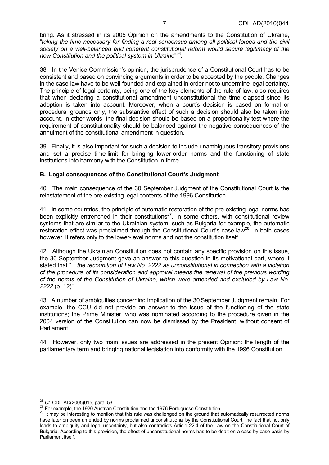bring. As it stressed in its 2005 Opinion on the amendments to the Constitution of Ukraine, "*taking the time necessary for finding a real consensus among all political forces and the civil society on a well-balanced and coherent constitutional reform would secure legitimacy of the new Constitution and the political system in Ukraine*" 26.

38. In the Venice Commission's opinion, the jurisprudence of a Constitutional Court has to be consistent and based on convincing arguments in order to be accepted by the people. Changes in the case-law have to be well-founded and explained in order not to undermine legal certainty. The principle of legal certainty, being one of the key elements of the rule of law, also requires that when declaring a constitutional amendment unconstitutional the time elapsed since its adoption is taken into account. Moreover, when a court's decision is based on formal or procedural grounds only, the substantive effect of such a decision should also be taken into account. In other words, the final decision should be based on a proportionality test where the requirement of constitutionality should be balanced against the negative consequences of the annulment of the constitutional amendment in question.

39. Finally, it is also important for such a decision to include unambiguous transitory provisions and set a precise time-limit for bringing lower-order norms and the functioning of state institutions into harmony with the Constitution in force.

#### **B. Legal consequences of the Constitutional Court's Judgment**

40. The main consequence of the 30 September Judgment of the Constitutional Court is the reinstatement of the pre-existing legal contents of the 1996 Constitution.

41. In some countries, the principle of automatic restoration of the pre-existing legal norms has been explicitly entrenched in their constitutions<sup>27</sup>. In some others, with constitutional review systems that are similar to the Ukrainian system, such as Bulgaria for example, the automatic restoration effect was proclaimed through the Constitutional Court's case-law<sup>28</sup>. In both cases however, it refers only to the lower-level norms and not the constitution itself.

42. Although the Ukrainian Constitution does not contain any specific provision on this issue, the 30 September Judgment gave an answer to this question in its motivational part, where it stated that "…*the recognition of Law No. 2222 as unconstitutional in connection with a violation of the procedure of its consideration and approval means the renewal of the previous wording of the norms of the Constitution of Ukraine, which were amended and excluded by Law No. 2222* (p. 12)".

43. A number of ambiguities concerning implication of the 30September Judgment remain. For example, the CCU did not provide an answer to the issue of the functioning of the state institutions; the Prime Minister, who was nominated according to the procedure given in the 2004 version of the Constitution can now be dismissed by the President, without consent of Parliament.

44. However, only two main issues are addressed in the present Opinion: the length of the parliamentary term and bringing national legislation into conformity with the 1996 Constitution.

<sup>&</sup>lt;sup>26</sup> Cf. CDL-AD(2005)015, para. 53.

<sup>27</sup> For example, the 1920 Austrian Constitution and the 1976 Portuguese Constitution.<br>28 It may be interesting to mention that this rule was challenged on the ground that automatically resurrected norms have later on been amended by norms proclaimed unconstitutional by the Constitutional Court, the fact that not only leads to ambiguity and legal uncertainty, but also contradicts Article 22.4 of the Law on the Constitutional Court of Bulgaria. According to this provision, the effect of unconstitutional norms has to be dealt on a case by case basis by Parliament itself.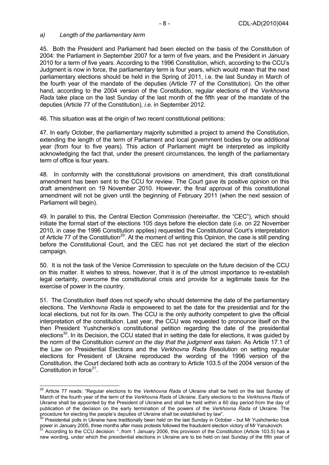#### *a) Length of the parliamentary term*

 $\overline{a}$ 

45. Both the President and Parliament had been elected on the basis of the Constitution of 2004: the Parliament in September 2007 for a term of five years, and the President in January 2010 for a term of five years. According to the 1996 Constitution, which, according to the CCU's Judgment is now in force, the parliamentary term is four years, which would mean that the next parliamentary elections should be held in the Spring of 2011, i.e. the last Sunday in March of the fourth year of the mandate of the deputies (Article 77 of the Constitution). On the other hand, according to the 2004 version of the Constitution, regular elections of the *Verkhovna Rada* take place on the last Sunday of the last month of the fifth year of the mandate of the deputies (Article 77 of the Constitution), *i.e*. in September 2012.

46. This situation was at the origin of two recent constitutional petitions:

47. In early October, the parliamentary majority submitted a project to amend the Constitution, extending the length of the term of Parliament and local government bodies by one additional year (from four to five years). This action of Parliament might be interpreted as implicitly acknowledging the fact that, under the present circumstances, the length of the parliamentary term of office is four years.

48. In conformity with the constitutional provisions on amendment, this draft constitutional amendment has been sent to the CCU for review. The Court gave its positive opinion on this draft amendment on 19 November 2010. However, the final approval of this constitutional amendment will not be given until the beginning of February 2011 (when the next session of Parliament will begin).

49. In parallel to this, the Central Election Commission (hereinafter, the "CEC"), which should initiate the formal start of the elections 105 days before the election date (i.e. on 22 November 2010, in case the 1996 Constitution applies) requested the Constitutional Court's interpretation of Article 77 of the Constitution<sup>29</sup>. At the moment of writing this Opinion, the case is still pending before the Constitutional Court, and the CEC has not yet declared the start of the election campaign.

50. It is not the task of the Venice Commission to speculate on the future decision of the CCU on this matter. It wishes to stress, however, that it is of the utmost importance to re-establish legal certainty, overcome the constitutional crisis and provide for a legitimate basis for the exercise of power in the country.

51. The Constitution itself does not specify who should determine the date of the parliamentary elections. The *Verkhovna Rada* is empowered to set the date for the presidential and for the local elections, but not for its own. The CCU is the only authority competent to give the official interpretation of the constitution. Last year, the CCU was requested to pronounce itself on the then President Yushchenko's constitutional petition regarding the date of the presidential elections<sup>30</sup>. In its Decision, the CCU stated that in setting the date for elections, it was guided by the norm of the Constitution *current on the day that the judgment was taken*. As Article 17.1 of the Law on Presidential Elections and the *Verkhovna Rada* Resolution on setting regular elections for President of Ukraine reproduced the wording of the 1996 version of the Constitution, the Court declared both acts as contrary to Article 103.5 of the 2004 version of the Constitution in force  $31$ .

<sup>29</sup> Article 77 reads: "Regular elections to the *Verkhovna Rada* of Ukraine shall be held on the last Sunday of March of the fourth year of the term of the *Verkhovna Rada* of Ukraine. Early elections to the *Verkhovna Rada* of Ukraine shall be appointed by the President of Ukraine and shall be held within a 60 day period from the day of publication of the decision on the early termination of the powers of the Verkhovna Rada of Ukraine. The procedure for electing the people's deputies of Ukraine shall be established by law".<br><sup>30</sup> Presidential polls in Ukraine have traditionally been held on the last Sunday in October - but Mr Yushchenko took

power in January 2005, three months after mass protests followed the fraudulent election victory of Mr Yanukovich.<br><sup>31</sup> According to the CCU decision: "..from 1 January 2006, this provision of the Constitution (Article 103

new wording, under which the presidential elections in Ukraine are to be held on last Sunday of the fifth year of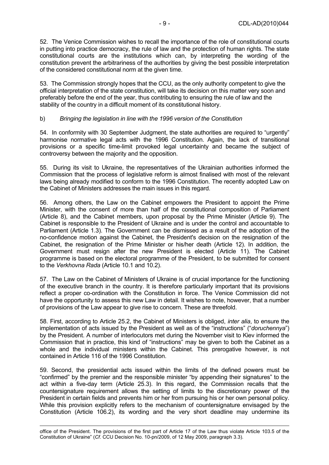52. The Venice Commission wishes to recall the importance of the role of constitutional courts in putting into practice democracy, the rule of law and the protection of human rights. The state constitutional courts are the institutions which can, by interpreting the wording of the constitution prevent the arbitrariness of the authorities by giving the best possible interpretation of the considered constitutional norm at the given time.

53. The Commission strongly hopes that the CCU, as the only authority competent to give the official interpretation of the state constitution, will take its decision on this matter very soon and preferably before the end of the year, thus contributing to ensuring the rule of law and the stability of the country in a difficult moment of its constitutional history.

#### b) *Bringing the legislation in line with the 1996 version of the Constitution*

54. In conformity with 30 September Judgment, the state authorities are required to "urgently" harmonise normative legal acts with the 1996 Constitution. Again, the lack of transitional provisions or a specific time-limit provoked legal uncertainty and became the subject of controversy between the majority and the opposition.

55. During its visit to Ukraine, the representatives of the Ukrainian authorities informed the Commission that the process of legislative reform is almost finalised with most of the relevant laws being already modified to conform to the 1996 Constitution. The recently adopted Law on the Cabinet of Ministers addresses the main issues in this regard.

56. Among others, the Law on the Cabinet empowers the President to appoint the Prime Minister, with the consent of more than half of the constitutional composition of Parliament (Article 8), and the Cabinet members, upon proposal by the Prime Minister (Article 9). The Cabinet is responsible to the President of Ukraine and is under the control and accountable to Parliament (Article 1.3). The Government can be dismissed as a result of the adoption of the no-confidence motion against the Cabinet, the President's decision on the resignation of the Cabinet, the resignation of the Prime Minister or his/her death (Article 12). In addition, the Government must resign after the new President is elected (Article 11). The Cabinet programme is based on the electoral programme of the President, to be submitted for consent to the *Verkhovna Rada* (Article 10.1 and 10.2).

57. The Law on the Cabinet of Ministers of Ukraine is of crucial importance for the functioning of the executive branch in the country. It is therefore particularly important that its provisions reflect a proper co-ordination with the Constitution in force. The Venice Commission did not have the opportunity to assess this new Law in detail. It wishes to note, however, that a number of provisions of the Law appear to give rise to concern. These are threefold.

58. First, according to Article 25.2, the Cabinet of Ministers is obliged, *inter alia*, to ensure the implementation of acts issued by the President as well as of the "instructions" ("*doruchennya*") by the President. A number of interlocutors met during the November visit to Kiev informed the Commission that in practice, this kind of "instructions" may be given to both the Cabinet as a whole and the individual ministers within the Cabinet. This prerogative however, is not contained in Article 116 of the 1996 Constitution.

59. Second, the presidential acts issued within the limits of the defined powers must be "confirmed" by the premier and the responsible minister "by appending their signatures" to the act within a five-day term (Article 25.3). In this regard, the Commission recalls that the countersignature requirement allows the setting of limits to the discretionary power of the President in certain fields and prevents him or her from pursuing his or her own personal policy. While this provision explicitly refers to the mechanism of countersignature envisaged by the Constitution (Article 106.2), its wording and the very short deadline may undermine its

 office of the President. The provisions of the first part of Article 17 of the Law thus violate Article 103.5 of the Constitution of Ukraine" (*Cf*. CCU Decision No. 10-pn/2009, of 12 May 2009, paragraph 3.3).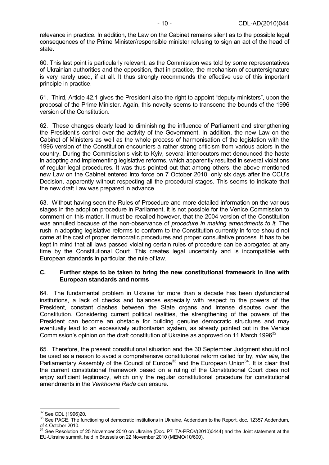relevance in practice. In addition, the Law on the Cabinet remains silent as to the possible legal consequences of the Prime Minister/responsible minister refusing to sign an act of the head of state.

60. This last point is particularly relevant, as the Commission was told by some representatives of Ukrainian authorities and the opposition, that in practice, the mechanism of countersignature is very rarely used, if at all. It thus strongly recommends the effective use of this important principle in practice.

61. Third, Article 42.1 gives the President also the right to appoint "deputy ministers", upon the proposal of the Prime Minister. Again, this novelty seems to transcend the bounds of the 1996 version of the Constitution.

62. These changes clearly lead to diminishing the influence of Parliament and strengthening the President's control over the activity of the Government. In addition, the new Law on the Cabinet of Ministers as well as the whole process of harmonisation of the legislation with the 1996 version of the Constitution encounters a rather strong criticism from various actors in the country. During the Commission's visit to Kyiv, several interlocutors met denounced the haste in adopting and implementing legislative reforms, which apparently resulted in several violations of regular legal procedures. It was thus pointed out that among others, the above-mentioned new Law on the Cabinet entered into force on 7 October 2010, only six days after the CCU's Decision, apparently without respecting all the procedural stages. This seems to indicate that the new draft Law was prepared in advance.

63. Without having seen the Rules of Procedure and more detailed information on the various stages in the adoption procedure in Parliament, it is not possible for the Venice Commission to comment on this matter. It must be recalled however, that the 2004 version of the Constitution was annulled because of the non-observance of *procedure in making amendments to it.* The rush in adopting legislative reforms to conform to the Constitution currently in force should not come at the cost of proper democratic procedures and proper consultative process. It has to be kept in mind that all laws passed violating certain rules of procedure can be abrogated at any time by the Constitutional Court. This creates legal uncertainty and is incompatible with European standards in particular, the rule of law.

#### **C. Further steps to be taken to bring the new constitutional framework in line with European standards and norms**

64. The fundamental problem in Ukraine for more than a decade has been dysfunctional institutions, a lack of checks and balances especially with respect to the powers of the President, constant clashes between the State organs and intense disputes over the Constitution. Considering current political realities, the strengthening of the powers of the President can become an obstacle for building genuine democratic structures and may eventually lead to an excessively authoritarian system, as already pointed out in the Venice Commission's opinion on the draft constitution of Ukraine as approved on 11 March 1996<sup>32</sup>.

65. Therefore, the present constitutional situation and the 30 September Judgment should not be used as a reason to avoid a comprehensive constitutional reform called for by, *inter alia*, the Parliamentary Assembly of the Council of Europe<sup>33</sup> and the European Union<sup>34</sup>. It is clear that the current constitutional framework based on a ruling of the Constitutional Court does not enjoy sufficient legitimacy, which only the regular constitutional procedure for constitutional amendments in the *Verkhovna Rada* can ensure.

<sup>&</sup>lt;sup>32</sup> See CDL (1996)20.

<sup>&</sup>lt;sup>33</sup> See PACE, The functioning of democratic institutions in Ukraine, Addendum to the Report, doc. 12357 Addendum, of 4 October 2010.<br> $34$  See Possiution

See Resolution of 25 November 2010 on Ukraine (Doc. P7\_TA-PROV(2010)0444) and the Joint statement at the EU-Ukraine summit, held in Brussels on 22 November 2010 (MEMO/10/600).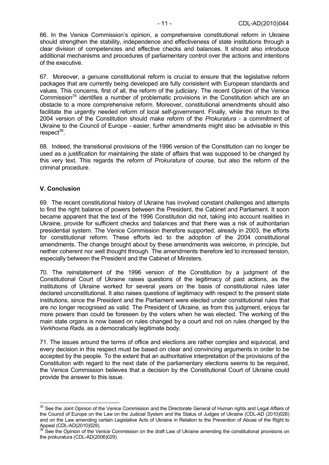66. In the Venice Commission's opinion, a comprehensive constitutional reform in Ukraine should strengthen the stability, independence and effectiveness of state institutions through a clear division of competencies and effective checks and balances. It should also introduce additional mechanisms and procedures of parliamentary control over the actions and intentions of the executive.

67. Moreover, a genuine constitutional reform is crucial to ensure that the legislative reform packages that are currently being developed are fully consistent with European standards and values. This concerns, first of all, the reform of the judiciary. The recent Opinion of the Venice Commission<sup>35</sup> identifies a number of problematic provisions in the Constitution which are an obstacle to a more comprehensive reform. Moreover, constitutional amendments should also facilitate the urgently needed reform of local self-government. Finally, while the return to the 2004 version of the Constitution should make reform of the *Prokuratura* - a commitment of Ukraine to the Council of Europe - easier, further amendments might also be advisable in this  $respect<sup>36</sup>$ .

68. Indeed, the transitional provisions of the 1996 version of the Constitution can no longer be used as a justification for maintaining the state of affairs that was supposed to be changed by this very text. This regards the reform of *Prokuratura* of course, but also the reform of the criminal procedure.

#### **V. Conclusion**

 $\overline{a}$ 

69. The recent constitutional history of Ukraine has involved constant challenges and attempts to find the right balance of powers between the President, the Cabinet and Parliament. It soon became apparent that the text of the 1996 Constitution did not, taking into account realities in Ukraine, provide for sufficient checks and balances and that there was a risk of authoritarian presidential system. The Venice Commission therefore supported, already in 2003, the efforts for constitutional reform. These efforts led to the adoption of the 2004 constitutional amendments. The change brought about by these amendments was welcome, in principle, but neither coherent nor well thought through. The amendments therefore led to increased tension, especially between the President and the Cabinet of Ministers.

70. The reinstatement of the 1996 version of the Constitution by a judgment of the Constitutional Court of Ukraine raises questions of the legitimacy of past actions, as the institutions of Ukraine worked for several years on the basis of constitutional rules later declared unconstitutional. It also raises questions of legitimacy with respect to the present state institutions, since the President and the Parliament were elected under constitutional rules that are no longer recognised as valid. The President of Ukraine, as from this judgment, enjoys far more powers than could be foreseen by the voters when he was elected. The working of the main state organs is now based on rules changed by a court and not on rules changed by the *Verkhovna Rada*, as a democratically legitimate body.

71. The issues around the terms of office and elections are rather complex and equivocal, and every decision in this respect must be based on clear and convincing arguments in order to be accepted by the people. To the extent that an authoritative interpretation of the provisions of the Constitution with regard to the next date of the parliamentary elections seems to be required, the Venice Commission believes that a decision by the Constitutional Court of Ukraine could provide the answer to this issue.

<sup>&</sup>lt;sup>35</sup> See the Joint Opinion of the Venice Commission and the Directorate General of Human rights and Legal Affairs of the Council of Europe on the Law on the Judicial System and the Status of Judges of Ukraine (CDL-AD (2010)026) and on the Law amending certain Legislative Acts of Ukraine in Relation to the Prevention of Abuse of the Right to Appeal (CDL-AD(2010)029).

See the Opinion of the Venice Commission on the draft Law of Ukraine amending the constitutional provisions on the prokuratura (CDL-AD(2006)029).